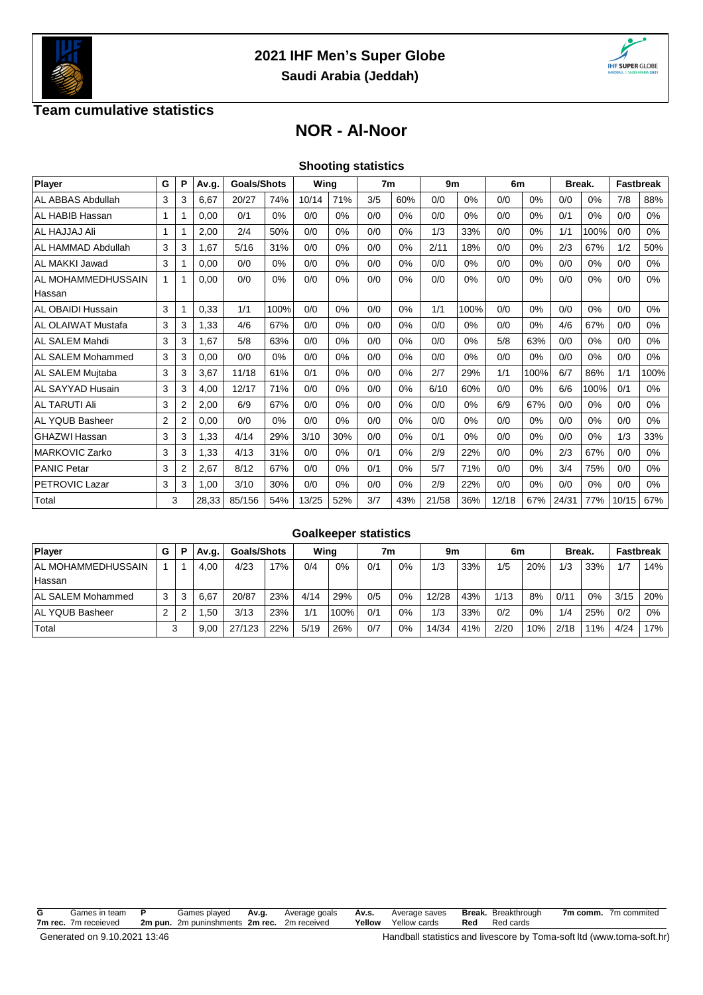



## **Team cumulative statistics**

## **NOR - Al-Noor**

**Shooting statistics**

| Player                | G              | P | Av.g. | <b>Goals/Shots</b> |      | Wing  |     | 7 <sub>m</sub> |     | 9m    |      | 6m    |      | Break. |      | <b>Fastbreak</b> |      |
|-----------------------|----------------|---|-------|--------------------|------|-------|-----|----------------|-----|-------|------|-------|------|--------|------|------------------|------|
| AL ABBAS Abdullah     | 3              | 3 | 6.67  | 20/27              | 74%  | 10/14 | 71% | 3/5            | 60% | 0/0   | 0%   | 0/0   | 0%   | 0/0    | 0%   | 7/8              | 88%  |
| AL HABIB Hassan       |                |   | 0.00  | 0/1                | 0%   | 0/0   | 0%  | 0/0            | 0%  | 0/0   | 0%   | 0/0   | 0%   | 0/1    | 0%   | 0/0              | 0%   |
| AL HAJJAJ Ali         |                |   | 2,00  | 2/4                | 50%  | 0/0   | 0%  | 0/0            | 0%  | 1/3   | 33%  | 0/0   | 0%   | 1/1    | 100% | 0/0              | 0%   |
| AL HAMMAD Abdullah    | 3              | 3 | 1,67  | 5/16               | 31%  | 0/0   | 0%  | 0/0            | 0%  | 2/11  | 18%  | 0/0   | 0%   | 2/3    | 67%  | 1/2              | 50%  |
| AL MAKKI Jawad        | 3              |   | 0,00  | 0/0                | 0%   | 0/0   | 0%  | 0/0            | 0%  | 0/0   | 0%   | 0/0   | 0%   | 0/0    | 0%   | 0/0              | 0%   |
| AL MOHAMMEDHUSSAIN    | 1              |   | 0,00  | 0/0                | 0%   | 0/0   | 0%  | 0/0            | 0%  | 0/0   | 0%   | 0/0   | 0%   | 0/0    | 0%   | 0/0              | 0%   |
| Hassan                |                |   |       |                    |      |       |     |                |     |       |      |       |      |        |      |                  |      |
| AL OBAIDI Hussain     | 3              |   | 0,33  | 1/1                | 100% | 0/0   | 0%  | 0/0            | 0%  | 1/1   | 100% | 0/0   | 0%   | 0/0    | 0%   | 0/0              | 0%   |
| AL OLAIWAT Mustafa    | 3              | 3 | 1,33  | 4/6                | 67%  | 0/0   | 0%  | 0/0            | 0%  | 0/0   | 0%   | 0/0   | 0%   | 4/6    | 67%  | 0/0              | 0%   |
| AL SALEM Mahdi        | 3              | 3 | 1,67  | 5/8                | 63%  | 0/0   | 0%  | 0/0            | 0%  | 0/0   | 0%   | 5/8   | 63%  | 0/0    | 0%   | 0/0              | 0%   |
| AL SALEM Mohammed     | 3              | 3 | 0,00  | 0/0                | 0%   | 0/0   | 0%  | 0/0            | 0%  | 0/0   | 0%   | 0/0   | 0%   | 0/0    | 0%   | 0/0              | 0%   |
| AL SALEM Mujtaba      | 3              | 3 | 3,67  | 11/18              | 61%  | 0/1   | 0%  | 0/0            | 0%  | 2/7   | 29%  | 1/1   | 100% | 6/7    | 86%  | 1/1              | 100% |
| AL SAYYAD Husain      | 3              | 3 | 4,00  | 12/17              | 71%  | 0/0   | 0%  | 0/0            | 0%  | 6/10  | 60%  | 0/0   | 0%   | 6/6    | 100% | 0/1              | 0%   |
| AL TARUTI Ali         | 3              | 2 | 2,00  | 6/9                | 67%  | 0/0   | 0%  | 0/0            | 0%  | 0/0   | 0%   | 6/9   | 67%  | 0/0    | 0%   | 0/0              | 0%   |
| AL YOUB Basheer       | $\overline{2}$ | 2 | 0,00  | 0/0                | 0%   | 0/0   | 0%  | 0/0            | 0%  | 0/0   | 0%   | 0/0   | 0%   | 0/0    | 0%   | 0/0              | 0%   |
| GHAZWI Hassan         | 3              | 3 | 1,33  | 4/14               | 29%  | 3/10  | 30% | 0/0            | 0%  | 0/1   | 0%   | 0/0   | 0%   | 0/0    | 0%   | 1/3              | 33%  |
| <b>MARKOVIC Zarko</b> | 3              | 3 | 1,33  | 4/13               | 31%  | 0/0   | 0%  | 0/1            | 0%  | 2/9   | 22%  | 0/0   | 0%   | 2/3    | 67%  | 0/0              | 0%   |
| <b>PANIC Petar</b>    | 3              | 2 | 2,67  | 8/12               | 67%  | 0/0   | 0%  | 0/1            | 0%  | 5/7   | 71%  | 0/0   | 0%   | 3/4    | 75%  | 0/0              | 0%   |
| <b>PETROVIC Lazar</b> | 3              | 3 | 1,00  | 3/10               | 30%  | 0/0   | 0%  | 0/0            | 0%  | 2/9   | 22%  | 0/0   | 0%   | 0/0    | 0%   | 0/0              | 0%   |
| Total                 |                | 3 | 28,33 | 85/156             | 54%  | 13/25 | 52% | 3/7            | 43% | 21/58 | 36%  | 12/18 | 67%  | 24/31  | 77%  | 10/15            | 67%  |

#### **Goalkeeper statistics**

| <b>Plaver</b>              | G | o | Av.a. | <b>Goals/Shots</b> |     | Wing |      | 7m  |       | 9m    |     | 6m   |     |      | <b>Break.</b> |      | Fastbreak |
|----------------------------|---|---|-------|--------------------|-----|------|------|-----|-------|-------|-----|------|-----|------|---------------|------|-----------|
| <b>IAL MOHAMMEDHUSSAIN</b> |   |   | 4.00  | 4/23               | 17% | 0/4  | 0%   | 0/1 | 0%    | 1/3   | 33% | 1/5  | 20% | 1/3  | 33%           | 1/7  | 14%       |
| Hassan                     |   |   |       |                    |     |      |      |     |       |       |     |      |     |      |               |      |           |
| <b>IAL SALEM Mohammed</b>  |   |   | 6.67  | 20/87              | 23% | 4/14 | 29%  | 0/5 | $0\%$ | 12/28 | 43% | 1/13 | 8%  | 0/1  | 0%            | 3/15 | 20%       |
| AL YQUB Basheer            |   |   | .50   | 3/13               | 23% | 1/1  | 100% | 0/1 | $0\%$ | 1/3   | 33% | 0/2  | 0%  | 1/4  | 25%           | 0/2  | 0%        |
| Total                      |   |   | 9.00  | 27/123             | 22% | 5/19 | 26%  | 0/7 | $0\%$ | 14/34 | 41% | 2/20 | 10% | 2/18 | 11%           | 4/24 | 17%       |

| G | Games in team P      | Games played Av.g.                                                     |  | . Average goals Av.s. Average saves Break. Breakthrough |                      | 7m comm. 7m commited |
|---|----------------------|------------------------------------------------------------------------|--|---------------------------------------------------------|----------------------|----------------------|
|   | 7m rec. 7m receieved | <b>2m pun.</b> 2m puninshments 2m rec. 2m received Yellow Yellow cards |  |                                                         | <b>Red</b> Red cards |                      |
|   |                      |                                                                        |  |                                                         |                      |                      |